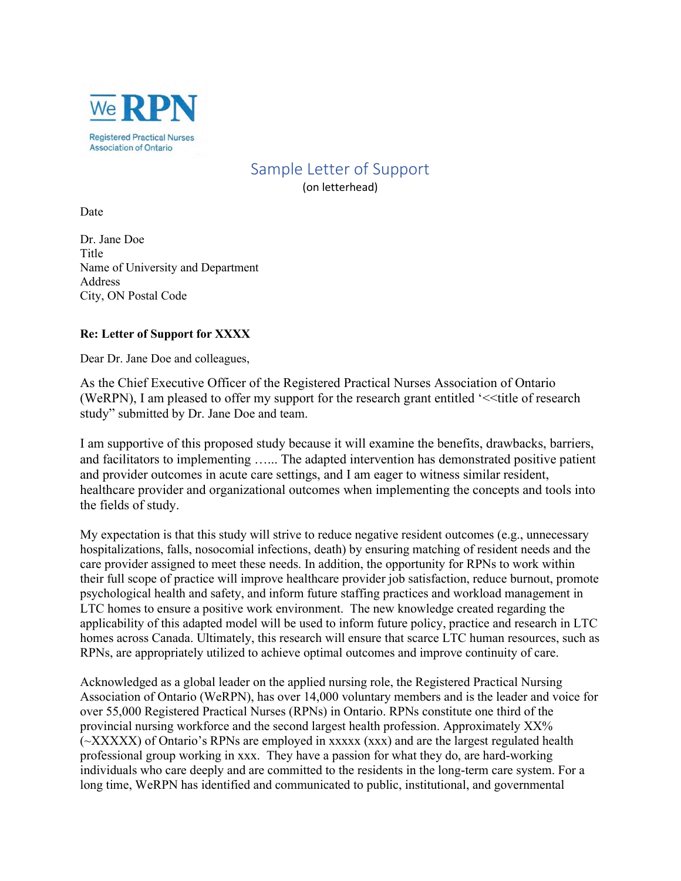

## Sample Letter of Support

(on letterhead)

Date

Dr. Jane Doe Title Name of University and Department Address City, ON Postal Code

## **Re: Letter of Support for XXXX**

Dear Dr. Jane Doe and colleagues,

As the Chief Executive Officer of the Registered Practical Nurses Association of Ontario (WeRPN), I am pleased to offer my support for the research grant entitled '<<title of research study" submitted by Dr. Jane Doe and team.

I am supportive of this proposed study because it will examine the benefits, drawbacks, barriers, and facilitators to implementing …... The adapted intervention has demonstrated positive patient and provider outcomes in acute care settings, and I am eager to witness similar resident, healthcare provider and organizational outcomes when implementing the concepts and tools into the fields of study.

My expectation is that this study will strive to reduce negative resident outcomes (e.g., unnecessary hospitalizations, falls, nosocomial infections, death) by ensuring matching of resident needs and the care provider assigned to meet these needs. In addition, the opportunity for RPNs to work within their full scope of practice will improve healthcare provider job satisfaction, reduce burnout, promote psychological health and safety, and inform future staffing practices and workload management in LTC homes to ensure a positive work environment. The new knowledge created regarding the applicability of this adapted model will be used to inform future policy, practice and research in LTC homes across Canada. Ultimately, this research will ensure that scarce LTC human resources, such as RPNs, are appropriately utilized to achieve optimal outcomes and improve continuity of care.

Acknowledged as a global leader on the applied nursing role, the Registered Practical Nursing Association of Ontario (WeRPN), has over 14,000 voluntary members and is the leader and voice for over 55,000 Registered Practical Nurses (RPNs) in Ontario. RPNs constitute one third of the provincial nursing workforce and the second largest health profession. Approximately XX% (~XXXXX) of Ontario's RPNs are employed in xxxxx (xxx) and are the largest regulated health professional group working in xxx. They have a passion for what they do, are hard-working individuals who care deeply and are committed to the residents in the long-term care system. For a long time, WeRPN has identified and communicated to public, institutional, and governmental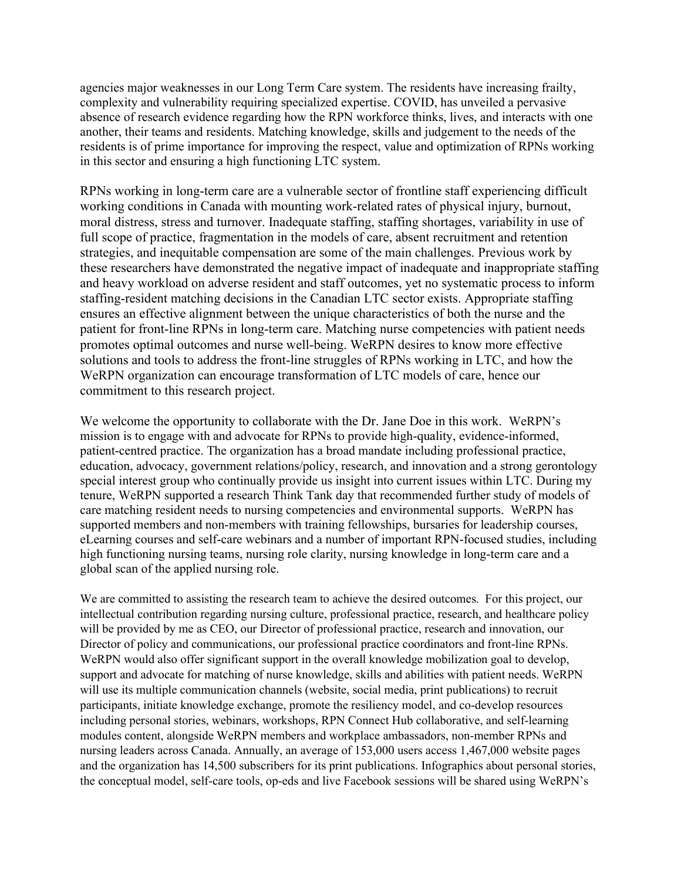agencies major weaknesses in our Long Term Care system. The residents have increasing frailty, complexity and vulnerability requiring specialized expertise. COVID, has unveiled a pervasive absence of research evidence regarding how the RPN workforce thinks, lives, and interacts with one another, their teams and residents. Matching knowledge, skills and judgement to the needs of the residents is of prime importance for improving the respect, value and optimization of RPNs working in this sector and ensuring a high functioning LTC system.

RPNs working in long-term care are a vulnerable sector of frontline staff experiencing difficult working conditions in Canada with mounting work-related rates of physical injury, burnout, moral distress, stress and turnover. Inadequate staffing, staffing shortages, variability in use of full scope of practice, fragmentation in the models of care, absent recruitment and retention strategies, and inequitable compensation are some of the main challenges. Previous work by these researchers have demonstrated the negative impact of inadequate and inappropriate staffing and heavy workload on adverse resident and staff outcomes, yet no systematic process to inform staffing-resident matching decisions in the Canadian LTC sector exists. Appropriate staffing ensures an effective alignment between the unique characteristics of both the nurse and the patient for front-line RPNs in long-term care. Matching nurse competencies with patient needs promotes optimal outcomes and nurse well-being. WeRPN desires to know more effective solutions and tools to address the front-line struggles of RPNs working in LTC, and how the WeRPN organization can encourage transformation of LTC models of care, hence our commitment to this research project.

We welcome the opportunity to collaborate with the Dr. Jane Doe in this work. WeRPN's mission is to engage with and advocate for RPNs to provide high-quality, evidence-informed, patient-centred practice. The organization has a broad mandate including professional practice, education, advocacy, government relations/policy, research, and innovation and a strong gerontology special interest group who continually provide us insight into current issues within LTC. During my tenure, WeRPN supported a research Think Tank day that recommended further study of models of care matching resident needs to nursing competencies and environmental supports. WeRPN has supported members and non-members with training fellowships, bursaries for leadership courses, eLearning courses and self-care webinars and a number of important RPN-focused studies, including high functioning nursing teams, nursing role clarity, nursing knowledge in long-term care and a global scan of the applied nursing role.

We are committed to assisting the research team to achieve the desired outcomes. For this project, our intellectual contribution regarding nursing culture, professional practice, research, and healthcare policy will be provided by me as CEO, our Director of professional practice, research and innovation, our Director of policy and communications, our professional practice coordinators and front-line RPNs. WeRPN would also offer significant support in the overall knowledge mobilization goal to develop, support and advocate for matching of nurse knowledge, skills and abilities with patient needs. WeRPN will use its multiple communication channels (website, social media, print publications) to recruit participants, initiate knowledge exchange, promote the resiliency model, and co-develop resources including personal stories, webinars, workshops, RPN Connect Hub collaborative, and self-learning modules content, alongside WeRPN members and workplace ambassadors, non-member RPNs and nursing leaders across Canada. Annually, an average of 153,000 users access 1,467,000 website pages and the organization has 14,500 subscribers for its print publications. Infographics about personal stories, the conceptual model, self-care tools, op-eds and live Facebook sessions will be shared using WeRPN's